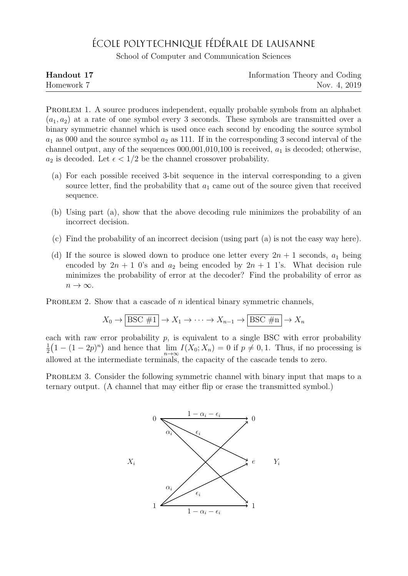## ÉCOLE POLYTECHNIQUE FÉDÉRALE DE LAUSANNE

School of Computer and Communication Sciences

| Handout 17 | Information Theory and Coding |
|------------|-------------------------------|
| Homework 7 | Nov. 4, 2019                  |

PROBLEM 1. A source produces independent, equally probable symbols from an alphabet  $(a_1, a_2)$  at a rate of one symbol every 3 seconds. These symbols are transmitted over a binary symmetric channel which is used once each second by encoding the source symbol  $a_1$  as 000 and the source symbol  $a_2$  as 111. If in the corresponding 3 second interval of the channel output, any of the sequences  $000,001,010,100$  is received,  $a_1$  is decoded; otherwise,  $a_2$  is decoded. Let  $\epsilon < 1/2$  be the channel crossover probability.

- (a) For each possible received 3-bit sequence in the interval corresponding to a given source letter, find the probability that  $a_1$  came out of the source given that received sequence.
- (b) Using part (a), show that the above decoding rule minimizes the probability of an incorrect decision.
- (c) Find the probability of an incorrect decision (using part (a) is not the easy way here).
- (d) If the source is slowed down to produce one letter every  $2n + 1$  seconds,  $a_1$  being encoded by  $2n + 1$  0's and  $a_2$  being encoded by  $2n + 1$  1's. What decision rule minimizes the probability of error at the decoder? Find the probability of error as  $n \to \infty$ .

PROBLEM 2. Show that a cascade of  $n$  identical binary symmetric channels,

$$
X_0 \to \boxed{\text{BSC \#1}} \to X_1 \to \cdots \to X_{n-1} \to \boxed{\text{BSC \#n}} \to X_n
$$

each with raw error probability  $p$ , is equivalent to a single BSC with error probability 1  $\frac{1}{2}(1-(1-2p)^n)$  and hence that  $\lim_{n\to\infty} I(X_0;X_n)=0$  if  $p\neq 0,1$ . Thus, if no processing is allowed at the intermediate terminals, the capacity of the cascade tends to zero.

PROBLEM 3. Consider the following symmetric channel with binary input that maps to a ternary output. (A channel that may either flip or erase the transmitted symbol.)

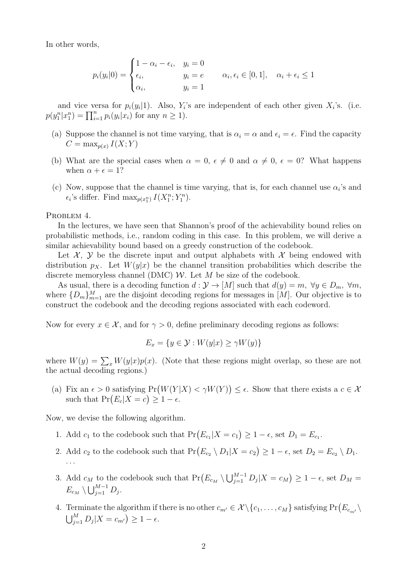In other words,

$$
p_i(y_i|0) = \begin{cases} 1 - \alpha_i - \epsilon_i, & y_i = 0 \\ \epsilon_i, & y_i = e \\ \alpha_i, & y_i = 1 \end{cases} \qquad \alpha_i, \epsilon_i \in [0, 1], \quad \alpha_i + \epsilon_i \le 1
$$

and vice versa for  $p_i(y_i|1)$ . Also,  $Y_i$ 's are independent of each other given  $X_i$ 's. (i.e.  $p(y_1^n | x_1^n) = \prod_{i=1}^n p_i(y_i | x_i)$  for any  $n \ge 1$ ).

- (a) Suppose the channel is not time varying, that is  $\alpha_i = \alpha$  and  $\epsilon_i = \epsilon$ . Find the capacity  $C = \max_{p(x)} I(X;Y)$
- (b) What are the special cases when  $\alpha = 0, \epsilon \neq 0$  and  $\alpha \neq 0, \epsilon = 0$ ? What happens when  $\alpha + \epsilon = 1$ ?
- (c) Now, suppose that the channel is time varying, that is, for each channel use  $\alpha_i$ 's and  $\epsilon_i$ 's differ. Find  $\max_{p(x_1^n)} I(X_1^n; Y_1^n)$ .

PROBLEM 4.

In the lectures, we have seen that Shannon's proof of the achievability bound relies on probabilistic methods, i.e., random coding in this case. In this problem, we will derive a similar achievability bound based on a greedy construction of the codebook.

Let  $\mathcal{X}, \mathcal{Y}$  be the discrete input and output alphabets with  $\mathcal{X}$  being endowed with distribution  $p_X$ . Let  $W(y|x)$  be the channel transition probabilities which describe the discrete memoryless channel (DMC)  $W$ . Let  $M$  be size of the codebook.

As usual, there is a decoding function  $d: \mathcal{Y} \to [M]$  such that  $d(y) = m$ ,  $\forall y \in D_m$ ,  $\forall m$ , where  ${D_m}_{m=1}^M$  are the disjoint decoding regions for messages in [M]. Our objective is to construct the codebook and the decoding regions associated with each codeword.

Now for every  $x \in \mathcal{X}$ , and for  $\gamma > 0$ , define preliminary decoding regions as follows:

$$
E_x = \{ y \in \mathcal{Y} : W(y|x) \ge \gamma W(y) \}
$$

where  $W(y) = \sum_{x} W(y|x)p(x)$ . (Note that these regions might overlap, so these are not the actual decoding regions.)

(a) Fix an  $\epsilon > 0$  satisfying  $Pr(W(Y|X) < \gamma W(Y)) \leq \epsilon$ . Show that there exists a  $c \in \mathcal{X}$ such that  $Pr(E_c|X=c) \geq 1-\epsilon$ .

Now, we devise the following algorithm.

- 1. Add  $c_1$  to the codebook such that  $Pr(E_{c_1}|X=c_1) \geq 1-\epsilon$ , set  $D_1 = E_{c_1}$ .
- 2. Add  $c_2$  to the codebook such that  $Pr(E_{c_2} \setminus D_1 | X = c_2) \ge 1 \epsilon$ , set  $D_2 = E_{c_2} \setminus D_1$ . . . .
- 3. Add  $c_M$  to the codebook such that  $Pr(E_{c_M} \setminus \bigcup_{j=1}^{M-1} D_j | X = c_M) \ge 1 \epsilon$ , set  $D_M =$  $E_{c_M} \setminus \bigcup_{j=1}^{M-1} D_j.$
- 4. Terminate the algorithm if there is no other  $c_{m'} \in \mathcal{X} \setminus \{c_1, \ldots, c_M\}$  satisfying  $Pr(E_{c_{m'}} \setminus$  $\bigcup_{j=1}^M D_j | X = c_{m'} \big) \geq 1 - \epsilon.$